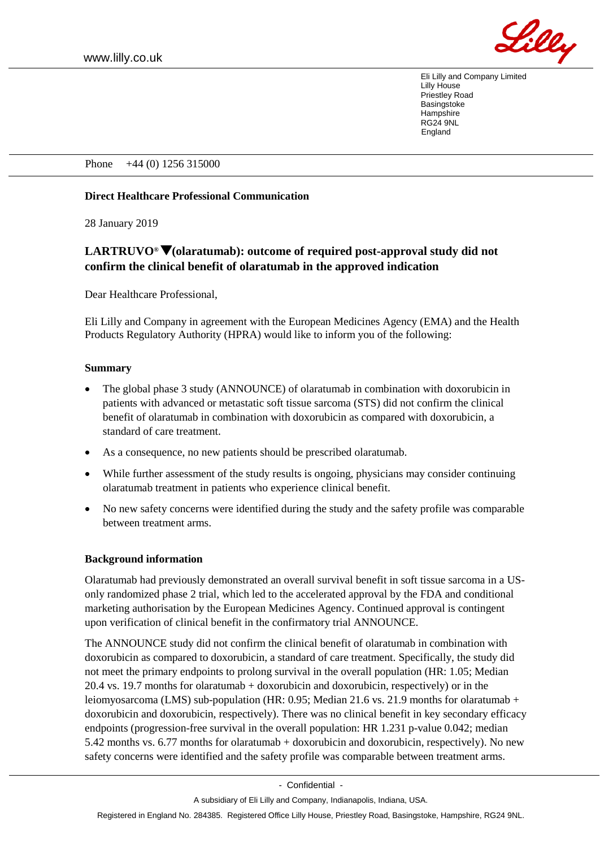

Eli Lilly and Company Limited Lilly House Priestley Road **Basingstoke Hampshire** RG24 9NL England

Phone +44 (0) 1256 315000

## **Direct Healthcare Professional Communication**

28 January 2019

# **LARTRUVO® (olaratumab): outcome of required post-approval study did not confirm the clinical benefit of olaratumab in the approved indication**

Dear Healthcare Professional,

Eli Lilly and Company in agreement with the European Medicines Agency (EMA) and the Health Products Regulatory Authority (HPRA) would like to inform you of the following:

#### **Summary**

- The global phase 3 study (ANNOUNCE) of olaratumab in combination with doxorubicin in patients with advanced or metastatic soft tissue sarcoma (STS) did not confirm the clinical benefit of olaratumab in combination with doxorubicin as compared with doxorubicin, a standard of care treatment.
- As a consequence, no new patients should be prescribed olaratumab.
- While further assessment of the study results is ongoing, physicians may consider continuing olaratumab treatment in patients who experience clinical benefit.
- No new safety concerns were identified during the study and the safety profile was comparable between treatment arms.

#### **Background information**

Olaratumab had previously demonstrated an overall survival benefit in soft tissue sarcoma in a USonly randomized phase 2 trial, which led to the accelerated approval by the FDA and conditional marketing authorisation by the European Medicines Agency. Continued approval is contingent upon verification of clinical benefit in the confirmatory trial ANNOUNCE.

The ANNOUNCE study did not confirm the clinical benefit of olaratumab in combination with doxorubicin as compared to doxorubicin, a standard of care treatment. Specifically, the study did not meet the primary endpoints to prolong survival in the overall population (HR: 1.05; Median 20.4 vs. 19.7 months for olaratumab + doxorubicin and doxorubicin, respectively) or in the leiomyosarcoma (LMS) sub-population (HR: 0.95; Median 21.6 vs. 21.9 months for olaratumab + doxorubicin and doxorubicin, respectively). There was no clinical benefit in key secondary efficacy endpoints (progression-free survival in the overall population: HR 1.231 p-value 0.042; median 5.42 months vs. 6.77 months for olaratumab + doxorubicin and doxorubicin, respectively). No new safety concerns were identified and the safety profile was comparable between treatment arms.